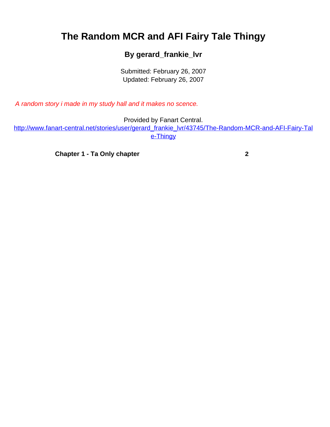## <span id="page-0-0"></span>**The Random MCR and AFI Fairy Tale Thingy**

## **By gerard\_frankie\_lvr**

Submitted: February 26, 2007 Updated: February 26, 2007

A random story i made in my study hall and it makes no scence.

Provided by Fanart Central.

[http://www.fanart-central.net/stories/user/gerard\\_frankie\\_lvr/43745/The-Random-MCR-and-AFI-Fairy-Tal](#page-0-0) [e-Thingy](#page-0-0)

**[Chapter 1 - Ta Only chapter](#page-1-0) [2](#page-1-0)**